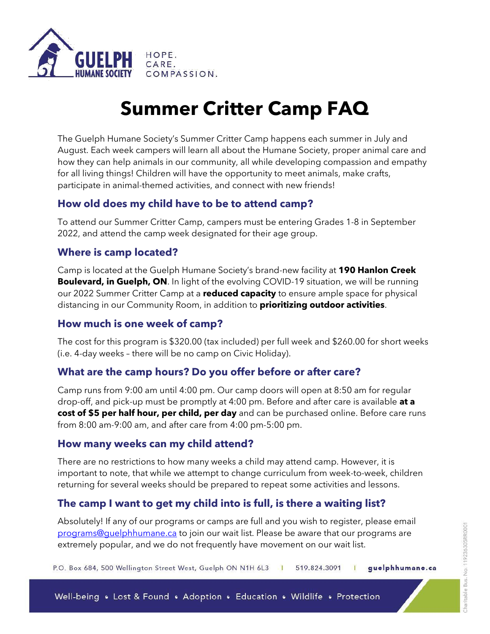

# **Summer Critter Camp FAQ**

The Guelph Humane Society's Summer Critter Camp happens each summer in July and August. Each week campers will learn all about the Humane Society, proper animal care and how they can help animals in our community, all while developing compassion and empathy for all living things! Children will have the opportunity to meet animals, make crafts, participate in animal-themed activities, and connect with new friends!

## **How old does my child have to be to attend camp?**

To attend our Summer Critter Camp, campers must be entering Grades 1-8 in September 2022, and attend the camp week designated for their age group.

## **Where is camp located?**

Camp is located at the Guelph Humane Society's brand-new facility at **190 Hanlon Creek Boulevard, in Guelph, ON**. In light of the evolving COVID-19 situation, we will be running our 2022 Summer Critter Camp at a **reduced capacity** to ensure ample space for physical distancing in our Community Room, in addition to **prioritizing outdoor activities**.

## **How much is one week of camp?**

The cost for this program is \$320.00 (tax included) per full week and \$260.00 for short weeks (i.e. 4-day weeks – there will be no camp on Civic Holiday).

## **What are the camp hours? Do you offer before or after care?**

Camp runs from 9:00 am until 4:00 pm. Our camp doors will open at 8:50 am for regular drop-off, and pick-up must be promptly at 4:00 pm. Before and after care is available **at a cost of \$5 per half hour, per child, per day** and can be purchased online. Before care runs from 8:00 am-9:00 am, and after care from 4:00 pm-5:00 pm.

#### **How many weeks can my child attend?**

There are no restrictions to how many weeks a child may attend camp. However, it is important to note, that while we attempt to change curriculum from week-to-week, children returning for several weeks should be prepared to repeat some activities and lessons.

## **The camp I want to get my child into is full, is there a waiting list?**

Absolutely! If any of our programs or camps are full and you wish to register, please email [programs@guelphhumane.ca](mailto:programs@guelphhumane.ca) to join our wait list. Please be aware that our programs are extremely popular, and we do not frequently have movement on our wait list.

P.O. Box 684, 500 Wellington Street West, Guelph ON N1H 6L3 guelphhumane.ca 519.824.3091  $\blacksquare$ Т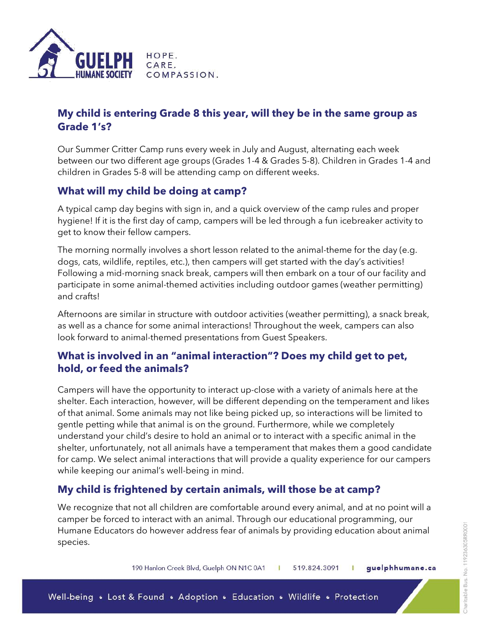

## **My child is entering Grade 8 this year, will they be in the same group as Grade 1's?**

Our Summer Critter Camp runs every week in July and August, alternating each week between our two different age groups (Grades 1-4 & Grades 5-8). Children in Grades 1-4 and children in Grades 5-8 will be attending camp on different weeks.

## **What will my child be doing at camp?**

A typical camp day begins with sign in, and a quick overview of the camp rules and proper hygiene! If it is the first day of camp, campers will be led through a fun icebreaker activity to get to know their fellow campers.

The morning normally involves a short lesson related to the animal-theme for the day (e.g. dogs, cats, wildlife, reptiles, etc.), then campers will get started with the day's activities! Following a mid-morning snack break, campers will then embark on a tour of our facility and participate in some animal-themed activities including outdoor games (weather permitting) and crafts!

Afternoons are similar in structure with outdoor activities (weather permitting), a snack break, as well as a chance for some animal interactions! Throughout the week, campers can also look forward to animal-themed presentations from Guest Speakers.

## **What is involved in an "animal interaction"? Does my child get to pet, hold, or feed the animals?**

Campers will have the opportunity to interact up-close with a variety of animals here at the shelter. Each interaction, however, will be different depending on the temperament and likes of that animal. Some animals may not like being picked up, so interactions will be limited to gentle petting while that animal is on the ground. Furthermore, while we completely understand your child's desire to hold an animal or to interact with a specific animal in the shelter, unfortunately, not all animals have a temperament that makes them a good candidate for camp. We select animal interactions that will provide a quality experience for our campers while keeping our animal's well-being in mind.

## **My child is frightened by certain animals, will those be at camp?**

We recognize that not all children are comfortable around every animal, and at no point will a camper be forced to interact with an animal. Through our educational programming, our Humane Educators do however address fear of animals by providing education about animal species.

> 190 Hanlon Creek Blvd, Guelph ON N1C 0A1 guelphhumane.ca 519.824.3091  $\mathbf{r}$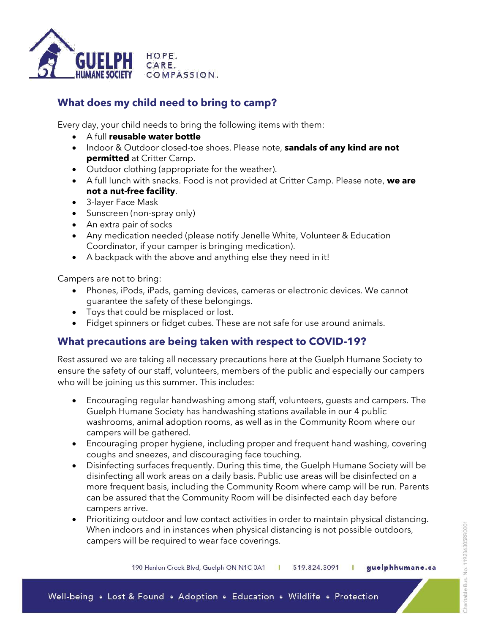

## **What does my child need to bring to camp?**

Every day, your child needs to bring the following items with them:

- A full **reusable water bottle**
- Indoor & Outdoor closed-toe shoes. Please note, **sandals of any kind are not permitted** at Critter Camp.
- Outdoor clothing (appropriate for the weather).
- A full lunch with snacks. Food is not provided at Critter Camp. Please note, **we are not a nut-free facility**.
- 3-layer Face Mask
- Sunscreen (non-spray only)
- An extra pair of socks
- Any medication needed (please notify Jenelle White, Volunteer & Education Coordinator, if your camper is bringing medication).
- A backpack with the above and anything else they need in it!

Campers are not to bring:

- Phones, iPods, iPads, gaming devices, cameras or electronic devices. We cannot guarantee the safety of these belongings.
- Toys that could be misplaced or lost.
- Fidget spinners or fidget cubes. These are not safe for use around animals.

## **What precautions are being taken with respect to COVID-19?**

Rest assured we are taking all necessary precautions here at the Guelph Humane Society to ensure the safety of our staff, volunteers, members of the public and especially our campers who will be joining us this summer. This includes:

- Encouraging regular handwashing among staff, volunteers, guests and campers. The Guelph Humane Society has handwashing stations available in our 4 public washrooms, animal adoption rooms, as well as in the Community Room where our campers will be gathered.
- Encouraging proper hygiene, including proper and frequent hand washing, covering coughs and sneezes, and discouraging face touching.
- Disinfecting surfaces frequently. During this time, the Guelph Humane Society will be disinfecting all work areas on a daily basis. Public use areas will be disinfected on a more frequent basis, including the Community Room where camp will be run. Parents can be assured that the Community Room will be disinfected each day before campers arrive.
- Prioritizing outdoor and low contact activities in order to maintain physical distancing. When indoors and in instances when physical distancing is not possible outdoors, campers will be required to wear face coverings.

190 Hanlon Creek Blvd, Guelph ON N1C 0A1 519.824.3091 guelphhumane.ca  $\mathbf{r}$